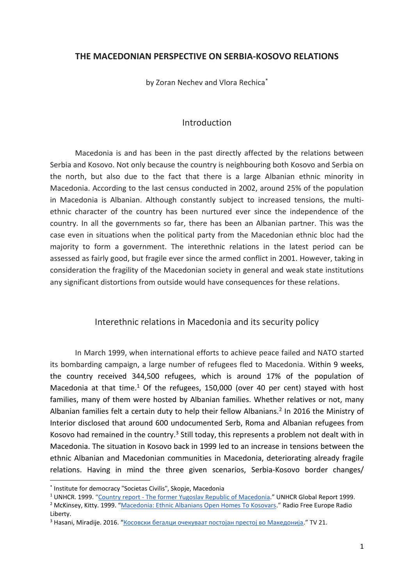## **THE MACEDONIAN PERSPECTIVE ON SERBIA-KOSOVO RELATIONS**

by Zoran Nechev and Vlora Rechica<sup>\*</sup>

## Introduction

Macedonia is and has been in the past directly affected by the relations between Serbia and Kosovo. Not only because the country is neighbouring both Kosovo and Serbia on the north, but also due to the fact that there is a large Albanian ethnic minority in Macedonia. According to the last census conducted in 2002, around 25% of the population in Macedonia is Albanian. Although constantly subject to increased tensions, the multiethnic character of the country has been nurtured ever since the independence of the country. In all the governments so far, there has been an Albanian partner. This was the case even in situations when the political party from the Macedonian ethnic bloc had the majority to form a government. The interethnic relations in the latest period can be assessed as fairly good, but fragile ever since the armed conflict in 2001. However, taking in consideration the fragility of the Macedonian society in general and weak state institutions any significant distortions from outside would have consequences for these relations.

#### Interethnic relations in Macedonia and its security policy

In March 1999, when international efforts to achieve peace failed and NATO started its bombarding campaign, a large number of refugees fled to Macedonia. Within 9 weeks, the country received 344,500 refugees, which is around 17% of the population of Macedonia at that time.<sup>1</sup> Of the refugees, 150,000 (over 40 per cent) stayed with host families, many of them were hosted by Albanian families. Whether relatives or not, many Albanian families felt a certain duty to help their fellow Albanians.<sup>2</sup> In 2016 the Ministry of Interior disclosed that around 600 undocumented Serb, Roma and Albanian refugees from Kosovo had remained in the country.<sup>3</sup> Still today, this represents a problem not dealt with in Macedonia. The situation in Kosovo back in 1999 led to an increase in tensions between the ethnic Albanian and Macedonian communities in Macedonia, deteriorating already fragile relations. Having in mind the three given scenarios, Serbia-Kosovo border changes/

<sup>1</sup> UNHCR. 1999. "Country report - [The former Yugoslav Republic of Macedonia](http://www.unhcr.org/3e2d4d601f.pdf)." UNHCR Global Report 1999.

<sup>\*</sup> Institute for democracy "Societas Civilis", Skopje, Macedonia

<sup>&</sup>lt;sup>2</sup> McKinsey, Kitty. 1999. "[Macedonia: Ethnic Albanians Open Homes To Kosovars](https://www.rferl.org/a/1090944.html)." Radio Free Europe Radio Liberty.

 $3$  Hasani, Miradije. 2016. "Косовски бегалци очекуваат постојан престој во Македонија." TV 21.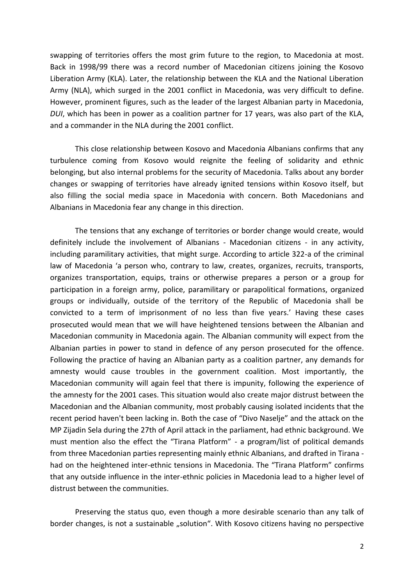swapping of territories offers the most grim future to the region, to Macedonia at most. Back in 1998/99 there was a record number of Macedonian citizens joining the Kosovo Liberation Army (KLA). Later, the relationship between the KLA and the National Liberation Army (NLA), which surged in the 2001 conflict in Macedonia, was very difficult to define. However, prominent figures, such as the leader of the largest Albanian party in Macedonia, *DUI*, which has been in power as a coalition partner for 17 years, was also part of the KLA, and a commander in the NLA during the 2001 conflict.

This close relationship between Kosovo and Macedonia Albanians confirms that any turbulence coming from Kosovo would reignite the feeling of solidarity and ethnic belonging, but also internal problems for the security of Macedonia. Talks about any border changes or swapping of territories have already ignited tensions within Kosovo itself, but also filling the social media space in Macedonia with concern. Both Macedonians and Albanians in Macedonia fear any change in this direction.

The tensions that any exchange of territories or border change would create, would definitely include the involvement of Albanians - Macedonian citizens - in any activity, including paramilitary activities, that might surge. According to article 322-а of the criminal law of Macedonia 'a person who, contrary to law, creates, organizes, recruits, transports, organizes transportation, equips, trains or otherwise prepares a person or a group for participation in a foreign army, police, paramilitary or parapolitical formations, organized groups or individually, outside of the territory of the Republic of Macedonia shall be convicted to a term of imprisonment of no less than five years.' Having these cases prosecuted would mean that we will have heightened tensions between the Albanian and Macedonian community in Macedonia again. The Albanian community will expect from the Albanian parties in power to stand in defence of any person prosecuted for the offence. Following the practice of having an Albanian party as a coalition partner, any demands for amnesty would cause troubles in the government coalition. Most importantly, the Macedonian community will again feel that there is impunity, following the experience of the amnesty for the 2001 cases. This situation would also create major distrust between the Macedonian and the Albanian community, most probably causing isolated incidents that the recent period haven't been lacking in. Both the case of "Divo Naselje" and the attack on the MP Zijadin Sela during the 27th of April attack in the parliament, had ethnic background. We must mention also the effect the "Tirana Platform" - a program/list of political demands from three Macedonian parties representing mainly ethnic Albanians, and drafted in Tirana had on the heightened inter-ethnic tensions in Macedonia. The "Tirana Platform" confirms that any outside influence in the inter-ethnic policies in Macedonia lead to a higher level of distrust between the communities.

Preserving the status quo, even though a more desirable scenario than any talk of border changes, is not a sustainable "solution". With Kosovo citizens having no perspective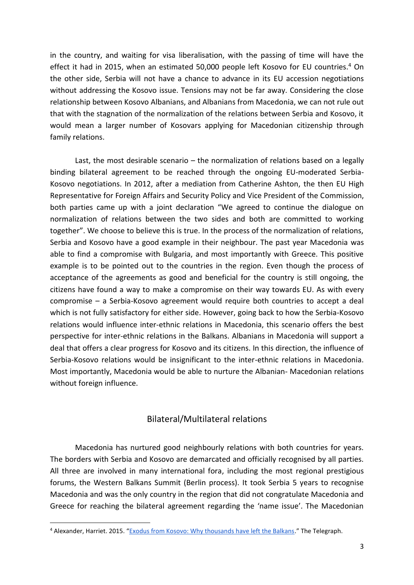in the country, and waiting for visa liberalisation, with the passing of time will have the effect it had in 2015, when an estimated 50,000 people left Kosovo for EU countries.<sup>4</sup> On the other side, Serbia will not have a chance to advance in its EU accession negotiations without addressing the Kosovo issue. Tensions may not be far away. Considering the close relationship between Kosovo Albanians, and Albanians from Macedonia, we can not rule out that with the stagnation of the normalization of the relations between Serbia and Kosovo, it would mean a larger number of Kosovars applying for Macedonian citizenship through family relations.

Last, the most desirable scenario – the normalization of relations based on a legally binding bilateral agreement to be reached through the ongoing EU-moderated Serbia-Kosovo negotiations. In 2012, after a mediation from Catherine Ashton, the then EU High Representative for Foreign Affairs and Security Policy and Vice President of the Commission, both parties came up with a joint declaration "We agreed to continue the dialogue on normalization of relations between the two sides and both are committed to working together". We choose to believe this is true. In the process of the normalization of relations, Serbia and Kosovo have a good example in their neighbour. The past year Macedonia was able to find a compromise with Bulgaria, and most importantly with Greece. This positive example is to be pointed out to the countries in the region. Even though the process of acceptance of the agreements as good and beneficial for the country is still ongoing, the citizens have found a way to make a compromise on their way towards EU. As with every compromise – a Serbia-Kosovo agreement would require both countries to accept a deal which is not fully satisfactory for either side. However, going back to how the Serbia-Kosovo relations would influence inter-ethnic relations in Macedonia, this scenario offers the best perspective for inter-ethnic relations in the Balkans. Albanians in Macedonia will support a deal that offers a clear progress for Kosovo and its citizens. In this direction, the influence of Serbia-Kosovo relations would be insignificant to the inter-ethnic relations in Macedonia. Most importantly, Macedonia would be able to nurture the Albanian- Macedonian relations without foreign influence.

# Bilateral/Multilateral relations

Macedonia has nurtured good neighbourly relations with both countries for years. The borders with Serbia and Kosovo are demarcated and officially recognised by all parties. All three are involved in many international fora, including the most regional prestigious forums, the Western Balkans Summit (Berlin process). It took Serbia 5 years to recognise Macedonia and was the only country in the region that did not congratulate Macedonia and Greece for reaching the bilateral agreement regarding the 'name issue'. The Macedonian

<sup>4</sup> Alexander, Harriet. 2015. "[Exodus from Kosovo: Why thousands have left the Balkans](https://www.telegraph.co.uk/news/worldnews/europe/kosovo/11426805/Exodus-from-Kosovo-Why-thousands-have-left-the-Balkans.html)." The Telegraph.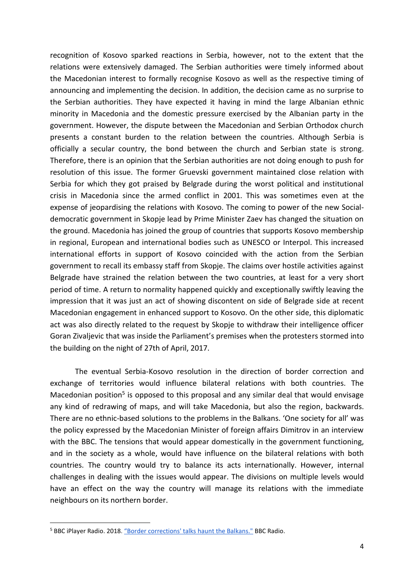recognition of Kosovo sparked reactions in Serbia, however, not to the extent that the relations were extensively damaged. The Serbian authorities were timely informed about the Macedonian interest to formally recognise Kosovo as well as the respective timing of announcing and implementing the decision. In addition, the decision came as no surprise to the Serbian authorities. They have expected it having in mind the large Albanian ethnic minority in Macedonia and the domestic pressure exercised by the Albanian party in the government. However, the dispute between the Macedonian and Serbian Orthodox church presents a constant burden to the relation between the countries. Although Serbia is officially a secular country, the bond between the church and Serbian state is strong. Therefore, there is an opinion that the Serbian authorities are not doing enough to push for resolution of this issue. The former Gruevski government maintained close relation with Serbia for which they got praised by Belgrade during the worst political and institutional crisis in Macedonia since the armed conflict in 2001. This was sometimes even at the expense of jeopardising the relations with Kosovo. The coming to power of the new Socialdemocratic government in Skopje lead by Prime Minister Zaev has changed the situation on the ground. Macedonia has joined the group of countries that supports Kosovo membership in regional, European and international bodies such as UNESCO or Interpol. This increased international efforts in support of Kosovo coincided with the action from the Serbian government to recall its embassy staff from Skopje. The claims over hostile activities against Belgrade have strained the relation between the two countries, at least for a very short period of time. A return to normality happened quickly and exceptionally swiftly leaving the impression that it was just an act of showing discontent on side of Belgrade side at recent Macedonian engagement in enhanced support to Kosovo. On the other side, this diplomatic act was also directly related to the request by Skopje to withdraw their intelligence officer Goran Zivaljevic that was inside the Parliament's premises when the protesters stormed into the building on the night of 27th of April, 2017.

The eventual Serbia-Kosovo resolution in the direction of border correction and exchange of territories would influence bilateral relations with both countries. The Macedonian position<sup>5</sup> is opposed to this proposal and any similar deal that would envisage any kind of redrawing of maps, and will take Macedonia, but also the region, backwards. There are no ethnic-based solutions to the problems in the Balkans. 'One society for all' was the policy expressed by the Macedonian Minister of foreign affairs Dimitrov in an interview with the BBC. The tensions that would appear domestically in the government functioning, and in the society as a whole, would have influence on the bilateral relations with both countries. The country would try to balance its acts internationally. However, internal challenges in dealing with the issues would appear. The divisions on multiple levels would have an effect on the way the country will manage its relations with the immediate neighbours on its northern border.

<sup>&</sup>lt;sup>5</sup> BBC iPlayer Radio. 2018. ["Border corrections' talks haunt the Balkans."](https://www.bbc.co.uk/radio/play/p06jxs0b) BBC Radio.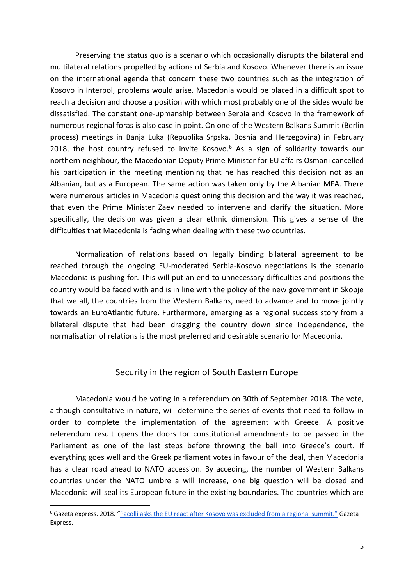Preserving the status quo is a scenario which occasionally disrupts the bilateral and multilateral relations propelled by actions of Serbia and Kosovo. Whenever there is an issue on the international agenda that concern these two countries such as the integration of Kosovo in Interpol, problems would arise. Macedonia would be placed in a difficult spot to reach a decision and choose a position with which most probably one of the sides would be dissatisfied. The constant one-upmanship between Serbia and Kosovo in the framework of numerous regional foras is also case in point. On one of the Western Balkans Summit (Berlin process) meetings in Banja Luka (Republika Srpska, Bosnia and Herzegovina) in February 2018, the host country refused to invite Kosovo. $6$  As a sign of solidarity towards our northern neighbour, the Macedonian Deputy Prime Minister for EU affairs Osmani cancelled his participation in the meeting mentioning that he has reached this decision not as an Albanian, but as a European. The same action was taken only by the Albanian MFA. There were numerous articles in Macedonia questioning this decision and the way it was reached, that even the Prime Minister Zaev needed to intervene and clarify the situation. More specifically, the decision was given a clear ethnic dimension. This gives a sense of the difficulties that Macedonia is facing when dealing with these two countries.

Normalization of relations based on legally binding bilateral agreement to be reached through the ongoing EU-moderated Serbia-Kosovo negotiations is the scenario Macedonia is pushing for. This will put an end to unnecessary difficulties and positions the country would be faced with and is in line with the policy of the new government in Skopje that we all, the countries from the Western Balkans, need to advance and to move jointly towards an EuroAtlantic future. Furthermore, emerging as a regional success story from a bilateral dispute that had been dragging the country down since independence, the normalisation of relations is the most preferred and desirable scenario for Macedonia.

## Security in the region of South Eastern Europe

Macedonia would be voting in a referendum on 30th of September 2018. The vote, although consultative in nature, will determine the series of events that need to follow in order to complete the implementation of the agreement with Greece. A positive referendum result opens the doors for constitutional amendments to be passed in the Parliament as one of the last steps before throwing the ball into Greece's court. If everything goes well and the Greek parliament votes in favour of the deal, then Macedonia has a clear road ahead to NATO accession. By acceding, the number of Western Balkans countries under the NATO umbrella will increase, one big question will be closed and Macedonia will seal its European future in the existing boundaries. The countries which are

<sup>6</sup> Gazeta express. 2018. ["Pacolli asks the EU react after Kosovo was excluded from a regional summit."](https://www.gazetaexpress.com/en/news/pacolli-asks-the-eu-react-after-kosovo-was-excluded-from-a-regional-summit-173688/) Gazeta Express.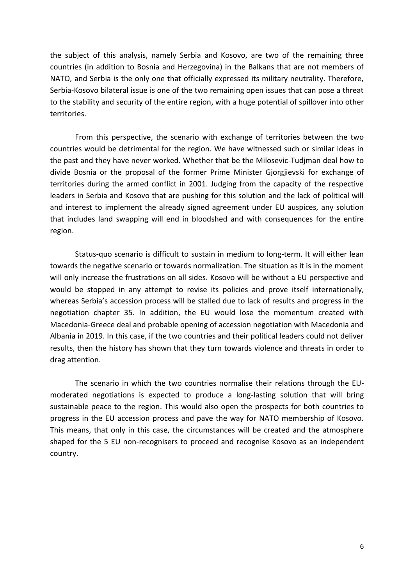the subject of this analysis, namely Serbia and Kosovo, are two of the remaining three countries (in addition to Bosnia and Herzegovina) in the Balkans that are not members of NATO, and Serbia is the only one that officially expressed its military neutrality. Therefore, Serbia-Kosovo bilateral issue is one of the two remaining open issues that can pose a threat to the stability and security of the entire region, with a huge potential of spillover into other territories.

From this perspective, the scenario with exchange of territories between the two countries would be detrimental for the region. We have witnessed such or similar ideas in the past and they have never worked. Whether that be the Milosevic-Tudjman deal how to divide Bosnia or the proposal of the former Prime Minister Gjorgjievski for exchange of territories during the armed conflict in 2001. Judging from the capacity of the respective leaders in Serbia and Kosovo that are pushing for this solution and the lack of political will and interest to implement the already signed agreement under EU auspices, any solution that includes land swapping will end in bloodshed and with consequences for the entire region.

Status-quo scenario is difficult to sustain in medium to long-term. It will either lean towards the negative scenario or towards normalization. The situation as it is in the moment will only increase the frustrations on all sides. Kosovo will be without a EU perspective and would be stopped in any attempt to revise its policies and prove itself internationally, whereas Serbia's accession process will be stalled due to lack of results and progress in the negotiation chapter 35. In addition, the EU would lose the momentum created with Macedonia-Greece deal and probable opening of accession negotiation with Macedonia and Albania in 2019. In this case, if the two countries and their political leaders could not deliver results, then the history has shown that they turn towards violence and threats in order to drag attention.

The scenario in which the two countries normalise their relations through the EUmoderated negotiations is expected to produce a long-lasting solution that will bring sustainable peace to the region. This would also open the prospects for both countries to progress in the EU accession process and pave the way for NATO membership of Kosovo. This means, that only in this case, the circumstances will be created and the atmosphere shaped for the 5 EU non-recognisers to proceed and recognise Kosovo as an independent country.